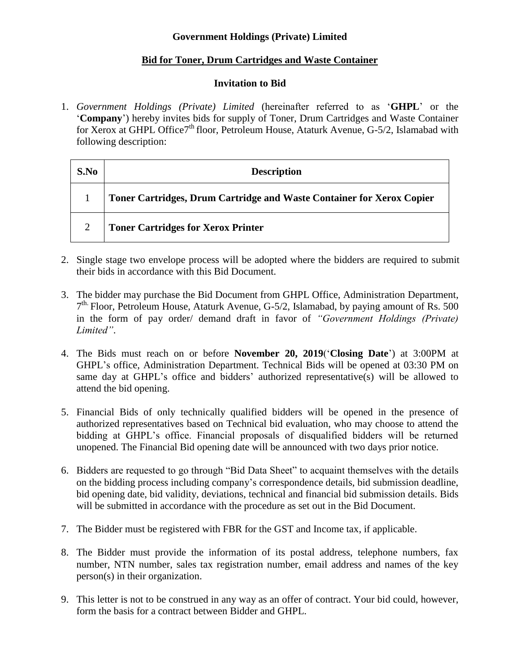## **Government Holdings (Private) Limited**

## **Bid for Toner, Drum Cartridges and Waste Container**

## **Invitation to Bid**

1. *Government Holdings (Private) Limited* (hereinafter referred to as '**GHPL**' or the '**Company**') hereby invites bids for supply of Toner, Drum Cartridges and Waste Container for Xerox at GHPL Office7<sup>th</sup> floor, Petroleum House, Ataturk Avenue, G-5/2, Islamabad with following description:

| S.No | <b>Description</b>                                                    |
|------|-----------------------------------------------------------------------|
|      | Toner Cartridges, Drum Cartridge and Waste Container for Xerox Copier |
|      | <b>Toner Cartridges for Xerox Printer</b>                             |

- 2. Single stage two envelope process will be adopted where the bidders are required to submit their bids in accordance with this Bid Document.
- 3. The bidder may purchase the Bid Document from GHPL Office, Administration Department, 7<sup>th.</sup> Floor, Petroleum House, Ataturk Avenue, G-5/2, Islamabad, by paying amount of Rs. 500 in the form of pay order/ demand draft in favor of *"Government Holdings (Private) Limited"*.
- 4. The Bids must reach on or before **November 20, 2019**('**Closing Date**') at 3:00PM at GHPL's office, Administration Department. Technical Bids will be opened at 03:30 PM on same day at GHPL's office and bidders' authorized representative(s) will be allowed to attend the bid opening.
- 5. Financial Bids of only technically qualified bidders will be opened in the presence of authorized representatives based on Technical bid evaluation, who may choose to attend the bidding at GHPL's office. Financial proposals of disqualified bidders will be returned unopened. The Financial Bid opening date will be announced with two days prior notice.
- 6. Bidders are requested to go through "Bid Data Sheet" to acquaint themselves with the details on the bidding process including company's correspondence details, bid submission deadline, bid opening date, bid validity, deviations, technical and financial bid submission details. Bids will be submitted in accordance with the procedure as set out in the Bid Document.
- 7. The Bidder must be registered with FBR for the GST and Income tax, if applicable.
- 8. The Bidder must provide the information of its postal address, telephone numbers, fax number, NTN number, sales tax registration number, email address and names of the key person(s) in their organization.
- 9. This letter is not to be construed in any way as an offer of contract. Your bid could, however, form the basis for a contract between Bidder and GHPL.